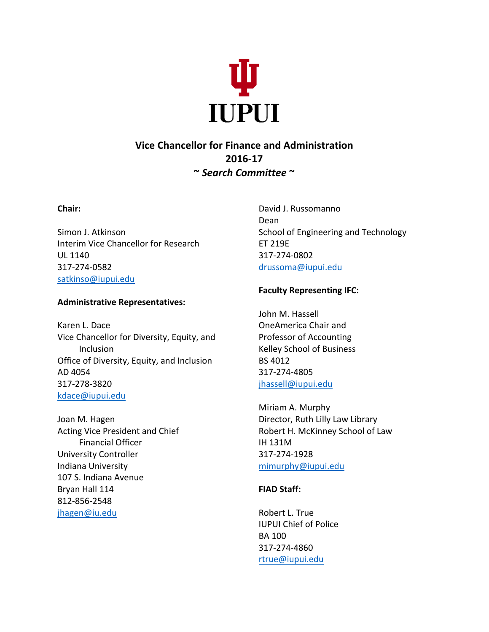

# **Vice Chancellor for Finance and Administration 2016-17 ~** *Search Committee* **~**

### **Chair:**

Simon J. Atkinson Interim Vice Chancellor for Research UL 1140 317-274-0582 satkinso@iupui.edu

### **Administrative Representatives:**

Karen L. Dace Vice Chancellor for Diversity, Equity, and Inclusion Office of Diversity, Equity, and Inclusion AD 4054 317-278-3820 kdace@iupui.edu

Joan M. Hagen Acting Vice President and Chief Financial Officer University Controller Indiana University 107 S. Indiana Avenue Bryan Hall 114 812-856-2548 jhagen@iu.edu

David J. Russomanno Dean School of Engineering and Technology ET 219E 317-274-0802 drussoma@iupui.edu

## **Faculty Representing IFC:**

John M. Hassell OneAmerica Chair and Professor of Accounting Kelley School of Business BS 4012 317-274-4805 jhassell@iupui.edu

Miriam A. Murphy Director, Ruth Lilly Law Library Robert H. McKinney School of Law IH 131M 317-274-1928 mimurphy@iupui.edu

# **FIAD Staff:**

Robert L. True **IUPUI Chief of Police** BA 100 317-274-4860 rtrue@iupui.edu